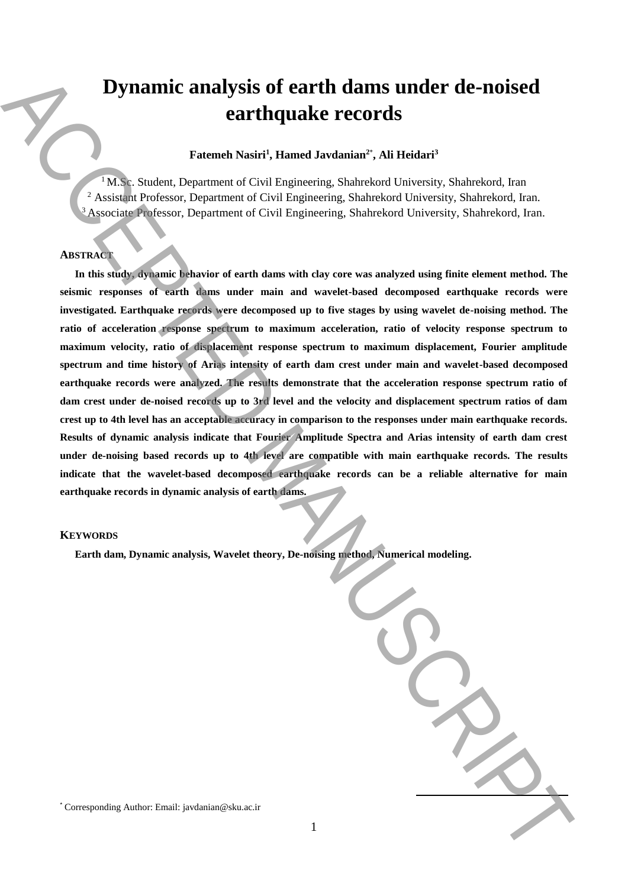# **Dynamic analysis of earth dams under de-noised earthquake records**

## **Fatemeh Nasiri<sup>1</sup> , Hamed Javdanian<sup>2</sup>**\* **, Ali Heidari<sup>3</sup>**

 $1$  M.Sc. Student, Department of Civil Engineering, Shahrekord University, Shahrekord, Iran <sup>2</sup> Assistant Professor, Department of Civil Engineering, Shahrekord University, Shahrekord, Iran. <sup>3</sup> Associate Professor, Department of Civil Engineering, Shahrekord University, Shahrekord, Iran.

# **ABSTRACT**

**In this study, dynamic behavior of earth dams with clay core was analyzed using finite element method. The seismic responses of earth dams under main and wavelet-based decomposed earthquake records were investigated. Earthquake records were decomposed up to five stages by using wavelet de-noising method. The ratio of acceleration response spectrum to maximum acceleration, ratio of velocity response spectrum to maximum velocity, ratio of displacement response spectrum to maximum displacement, Fourier amplitude spectrum and time history of Arias intensity of earth dam crest under main and wavelet-based decomposed earthquake records were analyzed. The results demonstrate that the acceleration response spectrum ratio of dam crest under de-noised records up to 3rd level and the velocity and displacement spectrum ratios of dam crest up to 4th level has an acceptable accuracy in comparison to the responses under main earthquake records. Results of dynamic analysis indicate that Fourier Amplitude Spectra and Arias intensity of earth dam crest under de-noising based records up to 4th level are compatible with main earthquake records. The results indicate that the wavelet-based decomposed earthquake records can be a reliable alternative for main earthquake records in dynamic analysis of earth dams. Dynamic analysis of earth dams under de-noised**<br> **earthquake records**<br> **Extract Author:** Expression of Corresponding <sup>2</sup>, Michair and Authority, Subscribed, Inc.<br>
(Author: Expression Corresponding Authority, Subscribed,

## **KEYWORDS**

**Earth dam, Dynamic analysis, Wavelet theory, De-noising method, Numerical modeling.**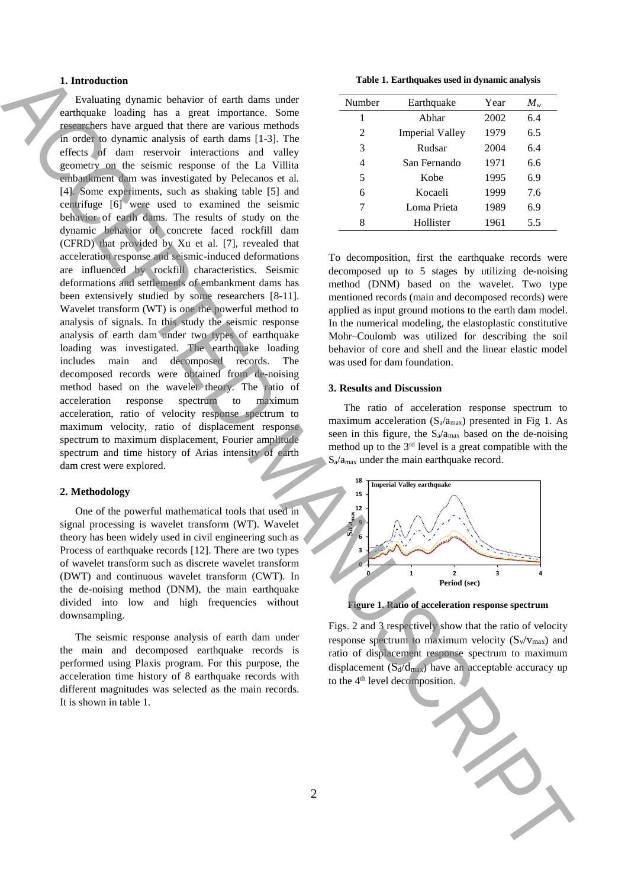## **1. Introduction**

Evaluating dynamic behavior of earth dams under earthquake loading has a great importance. Some researchers have argued that there are various methods in order to dynamic analysis of earth dams [1-3]. The effects of dam reservoir interactions and valley geometry on the seismic response of the La Villita embankment dam was investigated by Pelecanos et al. [4]. Some experiments, such as shaking table [5] and centrifuge [6] were used to examined the seismic behavior of earth dams. The results of study on the dynamic behavior of concrete faced rockfill dam (CFRD) that provided by Xu et al. [7], revealed that acceleration response and seismic-induced deformations are influenced by rockfill characteristics. Seismic deformations and settlements of embankment dams has been extensively studied by some researchers [8-11]. Wavelet transform (WT) is one the powerful method to analysis of signals. In this study the seismic response analysis of earth dam under two types of earthquake loading was investigated. The earthquake loading includes main and decomposed records. The decomposed records were obtained from de-noising method based on the wavelet theory. The ratio of acceleration response spectrum to maximum acceleration, ratio of velocity response spectrum to maximum velocity, ratio of displacement response spectrum to maximum displacement, Fourier amplitude spectrum and time history of Arias intensity of earth dam crest were explored. **1.** Interaction of second the second of second terms in the second of the second of the second of the second of the second of the second of the second of the second of the second of the second of the second of the second

## **2. Methodology**

One of the powerful mathematical tools that used in signal processing is wavelet transform (WT). Wavelet theory has been widely used in civil engineering such as Process of earthquake records [12]. There are two types of wavelet transform such as discrete wavelet transform (DWT) and continuous wavelet transform (CWT). In the de-noising method (DNM), the main earthquake divided into low and high frequencies without downsampling.

The seismic response analysis of earth dam under the main and decomposed earthquake records is performed using Plaxis program. For this purpose, the acceleration time history of 8 earthquake records with different magnitudes was selected as the main records. It is shown in table 1.

**Table 1. Earthquakes used in dynamic analysis**

| Number         | Earthquake             | Year | $M_{w}$ |
|----------------|------------------------|------|---------|
| 1              | Abhar                  | 2002 | 6.4     |
| $\mathfrak{D}$ | <b>Imperial Valley</b> | 1979 | 6.5     |
| 3              | Rudsar                 | 2004 | 6.4     |
| 4              | San Fernando           | 1971 | 6.6     |
| 5              | Kobe                   | 1995 | 6.9     |
| 6              | Kocaeli                | 1999 | 7.6     |
| 7              | Loma Prieta            | 1989 | 6.9     |
| 8              | Hollister              | 1961 | 5.5     |

To decomposition, first the earthquake records were decomposed up to 5 stages by utilizing de-noising method (DNM) based on the wavelet. Two type mentioned records (main and decomposed records) were applied as input ground motions to the earth dam model. In the numerical modeling, the elastoplastic constitutive Mohr–Coulomb was utilized for describing the soil behavior of core and shell and the linear elastic model was used for dam foundation.

## **3. Results and Discussion**

The ratio of acceleration response spectrum to maximum acceleration  $(S_a/a_{max})$  presented in Fig 1. As seen in this figure, the  $S_a/a_{max}$  based on the de-noising method up to the  $3<sup>rd</sup>$  level is a great compatible with the  $S_a/a_{\text{max}}$  under the main earthquake record.



**Figure 1. Ratio of acceleration response spectrum**

Figs. 2 and 3 respectively show that the ratio of velocity response spectrum to maximum velocity  $(S_v/v_{max})$  and ratio of displacement response spectrum to maximum displacement  $(S_d/d_{max})$  have an acceptable accuracy up to the 4<sup>th</sup> level decomposition.